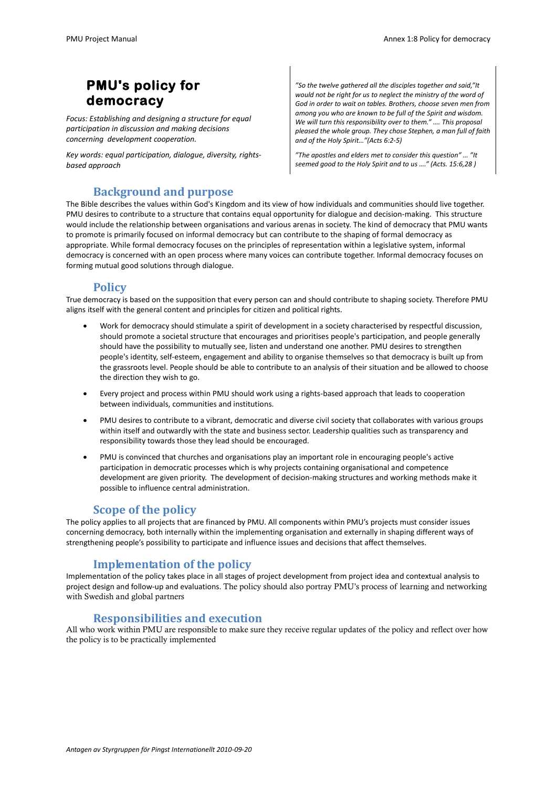# **PMU's policy for democracy**

*Focus: Establishing and designing a structure for equal participation in discussion and making decisions concerning development cooperation.* 

*Key words: equal participation, dialogue, diversity, rightsbased approach*

*"So the twelve gathered all the disciples together and said,"It would not be right for us to neglect the ministry of the word of God in order to wait on tables. Brothers, choose seven men from among you who are known to be full of the Spirit and wisdom. We will turn this responsibility over to them." …. This proposal pleased the whole group. They chose Stephen, a man full of faith and of the Holy Spirit…"(Acts 6:2-5)*

*"The apostles and elders met to consider this question" … "It seemed good to the Holy Spirit and to us …." (Acts. 15:6,28 )*

# **Background and purpose**

The Bible describes the values within God's Kingdom and its view of how individuals and communities should live together. PMU desires to contribute to a structure that contains equal opportunity for dialogue and decision-making. This structure would include the relationship between organisations and various arenas in society. The kind of democracy that PMU wants to promote is primarily focused on informal democracy but can contribute to the shaping of formal democracy as appropriate. While formal democracy focuses on the principles of representation within a legislative system, informal democracy is concerned with an open process where many voices can contribute together. Informal democracy focuses on forming mutual good solutions through dialogue.

## **Policy**

True democracy is based on the supposition that every person can and should contribute to shaping society. Therefore PMU aligns itself with the general content and principles for citizen and political rights.

- Work for democracy should stimulate a spirit of development in a society characterised by respectful discussion, should promote a societal structure that encourages and prioritises people's participation, and people generally should have the possibility to mutually see, listen and understand one another. PMU desires to strengthen people's identity, self-esteem, engagement and ability to organise themselves so that democracy is built up from the grassroots level. People should be able to contribute to an analysis of their situation and be allowed to choose the direction they wish to go.
- Every project and process within PMU should work using a rights-based approach that leads to cooperation between individuals, communities and institutions.
- PMU desires to contribute to a vibrant, democratic and diverse civil society that collaborates with various groups within itself and outwardly with the state and business sector. Leadership qualities such as transparency and responsibility towards those they lead should be encouraged.
- PMU is convinced that churches and organisations play an important role in encouraging people's active participation in democratic processes which is why projects containing organisational and competence development are given priority. The development of decision-making structures and working methods make it possible to influence central administration.

## **Scope of the policy**

The policy applies to all projects that are financed by PMU. All components within PMU's projects must consider issues concerning democracy, both internally within the implementing organisation and externally in shaping different ways of strengthening people's possibility to participate and influence issues and decisions that affect themselves.

# **Implementation of the policy**

Implementation of the policy takes place in all stages of project development from project idea and contextual analysis to project design and follow-up and evaluations. The policy should also portray PMU's process of learning and networking with Swedish and global partners

## **Responsibilities and execution**

All who work within PMU are responsible to make sure they receive regular updates of the policy and reflect over how the policy is to be practically implemented